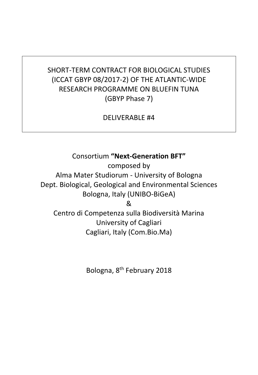# SHORT-TERM CONTRACT FOR BIOLOGICAL STUDIES (ICCAT GBYP 08/2017-2) OF THE ATLANTIC-WIDE RESEARCH PROGRAMME ON BLUEFIN TUNA (GBYP Phase 7)

DELIVERABLE #4

Consortium **"Next-Generation BFT"**

composed by Alma Mater Studiorum - University of Bologna Dept. Biological, Geological and Environmental Sciences Bologna, Italy (UNIBO-BiGeA)

&

Centro di Competenza sulla Biodiversità Marina University of Cagliari Cagliari, Italy (Com.Bio.Ma)

Bologna, 8th February 2018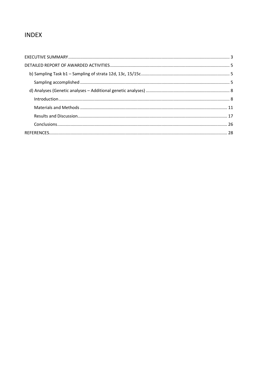# **INDEX**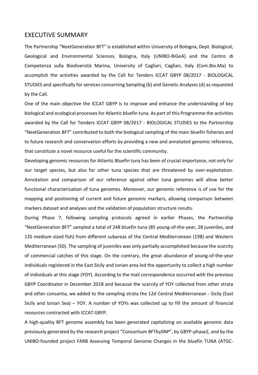## <span id="page-2-0"></span>EXECUTIVE SUMMARY

The Partnership "NextGeneration BFT" is established within University of Bologna, Dept. Biological, Geological and Environmental Sciences, Bologna, Italy (UNIBO-BiGeA) and the Centro di Competenza sulla Biodiversità Marina, University of Cagliari, Cagliari, Italy (Com.Bio.Ma) to accomplish the activities awarded by the Call for Tenders ICCAT GBYP 08/2017 - BIOLOGICAL STUDIES and specifically for services concerning Sampling (b) and Genetic Analyses (d) as requested by the Call.

One of the main objective the ICCAT GBYP is to improve and enhance the understanding of key biological and ecological processes for Atlantic bluefin tuna. As part of this Programme the activities awarded by the Call for Tenders ICCAT GBYP 08/2017 - BIOLOGICAL STUDIES to the Partnership "NextGeneration BFT" contributed to both the biological sampling of the main bluefin fisheries and to future research and conservation efforts by providing a new and annotated genomic reference, that constitute a novel resource useful for the scientific community.

Developing genomic resources for Atlantic Bluefin tuna has been of crucial importance, not only for our target species, but also for other tuna species that are threatened by over-exploitation. Annotation and comparison of our reference against other tuna genomes will allow better functional characterisation of tuna genomes. Moreover, our genomic reference is of use for the mapping and positioning of current and future genomic markers, allowing comparison between markers dataset and analyses and the validation of population structure results.

During Phase 7, following sampling protocols agreed in earlier Phases, the Partnership "NextGeneration BFT" sampled a total of 248 bluefin tuna (85 young-of-the-year, 28 juveniles, and 135 medium sized fish) from different subareas of the Central Mediterranean (198) and Western Mediterranean (50). The sampling of juveniles was only partially accomplished because the scarcity of commercial catches of this stage. On the contrary, the great abundance of young-of-the-year individuals registered in the East Sicily and Ionian area led the opportunity to collect a high number of individuals at this stage (YOY). According to the mail correspondence occurred with the previous GBYP Coordinator in December 2018 and because the scarcity of YOY collected from other strata and other consortia, we added to the sampling strata the 12d Central Mediterranean - Sicily (East Sicily and Ionian Sea) – YOY. A number of YOYs was collected up to fill the amount of financial resources contracted with ICCAT GBYP.

A high-quality BFT genome assembly has been generated capitalizing on available genomic data previously generated by the research project "Consortium BFTbySNP", by GBYP-phase2, and by the UNIBO-founded project FARB Assessing Temporal Genome Changes in the bluefin TUNA (ATGC-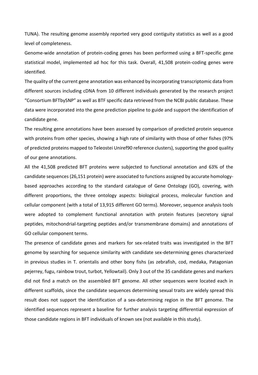TUNA). The resulting genome assembly reported very good contiguity statistics as well as a good level of completeness.

Genome-wide annotation of protein-coding genes has been performed using a BFT-specific gene statistical model, implemented ad hoc for this task. Overall, 41,508 protein-coding genes were identified.

The quality of the current gene annotation was enhanced by incorporating transcriptomic data from different sources including cDNA from 10 different individuals generated by the research project "Consortium BFTbySNP" as well as BTF specific data retrieved from the NCBI public database. These data were incorporated into the gene prediction pipeline to guide and support the identification of candidate gene.

The resulting gene annotations have been assessed by comparison of predicted protein sequence with proteins from other species, showing a high rate of similarity with those of other fishes (97% of predicted proteins mapped to Teleostei Uniref90 reference clusters), supporting the good quality of our gene annotations.

All the 41,508 predicted BFT proteins were subjected to functional annotation and 63% of the candidate sequences (26,151 protein) were associated to functions assigned by accurate homologybased approaches according to the standard catalogue of Gene Ontology (GO), covering, with different proportions, the three ontology aspects: biological process, molecular function and cellular component (with a total of 13,915 different GO terms). Moreover, sequence analysis tools were adopted to complement functional annotation with protein features (secretory signal peptides, mitochondrial-targeting peptides and/or transmembrane domains) and annotations of GO cellular component terms.

The presence of candidate genes and markers for sex-related traits was investigated in the BFT genome by searching for sequence similarity with candidate sex-determining genes characterized in previous studies in T. orientalis and other bony fishs (as zebrafish, cod, medaka, Patagonian pejerrey, fugu, rainbow trout, turbot, Yellowtail). Only 3 out of the 35 candidate genes and markers did not find a match on the assembled BFT genome. All other sequences were located each in different scaffolds, since the candidate sequences determining sexual traits are widely spread this result does not support the identification of a sex-determining region in the BFT genome. The identified sequences represent a baseline for further analysis targeting differential expression of those candidate regions in BFT individuals of known sex (not available in this study).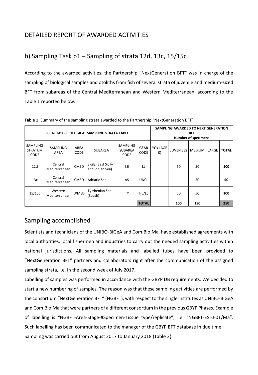# <span id="page-4-0"></span>DETAILED REPORT OF AWARDED ACTIVITIES

# <span id="page-4-1"></span>b) Sampling Task b1 – Sampling of strata 12d, 13c, 15/15c

According to the awarded activities, the Partnership "NextGeneration BFT" was in charge of the sampling of biological samples and otoliths from fish of several strata of juvenile and medium-sized BFT from subareas of the Central Mediterranean and Western Mediterranean, according to the Table 1 reported below.

| <b>ICCAT GBYP BIOLOGICAL SAMPLING STRATA TABLE</b> |                          |                     |                                        |                                           | SAMPLING AWARDED TO NEXT GENERATION<br><b>BFT</b><br><b>Number of specimens</b> |                               |                  |               |       |              |
|----------------------------------------------------|--------------------------|---------------------|----------------------------------------|-------------------------------------------|---------------------------------------------------------------------------------|-------------------------------|------------------|---------------|-------|--------------|
| SAMPLING<br><b>STRATUM</b><br><b>CODE</b>          | SAMPLING<br><b>AREA</b>  | AREA<br><b>CODE</b> | <b>SUBAREA</b>                         | SAMPLING<br><b>SUBAREA</b><br><b>CODE</b> | <b>GEAR</b><br><b>CODE</b>                                                      | YOY (AGE<br>$\vert 0 \rangle$ | <b>JUVENILES</b> | <b>MEDIUM</b> | LARGE | <b>TOTAL</b> |
| 12d                                                | Central<br>Mediterranean | <b>CMED</b>         | Sicily (East Sicily<br>and Ionian Sea) | ESI                                       | LL                                                                              |                               | 50               | 50            |       | 100          |
| 13c                                                | Central<br>Mediterranean | <b>CMED</b>         | Adriatic Sea                           | AS                                        | UNCL                                                                            |                               |                  | 50            |       | 50           |
| 15/15c                                             | Western<br>Mediterranean | <b>WMED</b>         | <b>Tyrrhenian Sea</b><br>(South)       | <b>TY</b>                                 | HL/LL                                                                           |                               | 50               | 50            |       | 100          |
|                                                    |                          |                     |                                        |                                           | <b>TOTAL</b>                                                                    |                               | 100              | 150           |       | 250          |

**Table 1**. Summary of the sampling strata awarded to the Partnership "NextGeneration BFT"

# <span id="page-4-2"></span>Sampling accomplished

Scientists and technicians of the UNIBO-BiGeA and Com.Bio.Ma. have established agreements with local authorities, local fishermen and industries to carry out the needed sampling activities within national jurisdictions. All sampling materials and labelled tubes have been provided to "NextGeneration BFT" partners and collaborators right after the communication of the assigned sampling strata, i.e. in the second week of July 2017.

Labelling of samples was performed in accordance with the GBYP DB requirements. We decided to start a new numbering of samples. The reason was that these sampling activities are performed by the consortium "NextGeneration BFT" (NGBFT), with respect to the single institutes as UNIBO-BiGeA and Com.Bio.Ma that were partners of a different consortium in the previous GBYP Phases. Example of labelling is "NGBFT-Area-Stage-#Specimen-Tissue type/replicate", i.e. "NGBFT-ESI-J-01/Ma". Such labelling has been communicated to the manager of the GBYP BFT database in due time. Sampling was carried out from August 2017 to January 2018 (Table 2).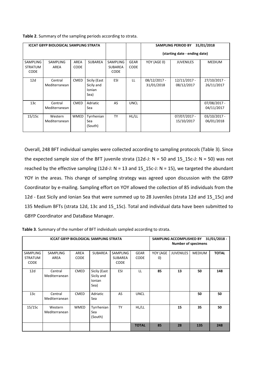**Table 2**. Summary of the sampling periods according to strata.

| <b>ICCAT GBYP BIOLOGICAL SAMPLING STRATA</b> |                 |             |                |                |                               | <b>SAMPLING PERIOD BY</b> | 31/01/2018       |                |
|----------------------------------------------|-----------------|-------------|----------------|----------------|-------------------------------|---------------------------|------------------|----------------|
|                                              |                 |             |                |                | (starting date - ending date) |                           |                  |                |
| <b>SAMPLING</b>                              | <b>SAMPLING</b> | AREA        | <b>SUBAREA</b> | SAMPLING       | <b>GEAR</b>                   | YOY (AGE 0)               | <b>JUVENILES</b> | <b>MEDIUM</b>  |
| <b>STRATUM</b>                               | AREA            | <b>CODE</b> |                | <b>SUBAREA</b> | <b>CODE</b>                   |                           |                  |                |
| <b>CODE</b>                                  |                 |             |                | <b>CODE</b>    |                               |                           |                  |                |
| 12d                                          | Central         | <b>CMED</b> | Sicily (East   | ESI            | LL                            | $08/12/2017 -$            | $12/11/2017 -$   | 27/10/2017 -   |
|                                              | Mediterranean   |             | Sicily and     |                |                               | 31/01/2018                | 08/12/2017       | 26/11/2017     |
|                                              |                 |             | Ionian<br>Sea) |                |                               |                           |                  |                |
|                                              |                 |             |                |                |                               |                           |                  |                |
| 13 <sub>c</sub>                              | Central         | <b>CMED</b> | Adriatic       | AS             | <b>UNCL</b>                   |                           |                  | 07/08/2017 -   |
|                                              | Mediterranean   |             | Sea            |                |                               |                           |                  | 04/11/2017     |
| 15/15c                                       | Western         | <b>WMED</b> | Tyrrhenian     | <b>TY</b>      | HL/LL                         |                           | $07/07/2017 -$   | $03/10/2017 -$ |
|                                              | Mediterranean   |             | Sea            |                |                               |                           | 15/10/2017       | 06/01/2018     |
|                                              |                 |             | (South)        |                |                               |                           |                  |                |
|                                              |                 |             |                |                |                               |                           |                  |                |

Overall, 248 BFT individual samples were collected according to sampling protocols (Table 3). Since the expected sample size of the BFT juvenile strata (12d-J:  $N = 50$  and 15\_15c-J:  $N = 50$ ) was not reached by the effective sampling (12d-J: N = 13 and 15  $15c$ -J: N = 15), we targeted the abundant YOY in the areas. This change of sampling strategy was agreed upon discussion with the GBYP Coordinator by e-mailing. Sampling effort on YOY allowed the collection of 85 individuals from the 12d - East Sicily and Ionian Sea that were summed up to 28 Juveniles (strata 12d and 15\_15c) and 135 Medium BFTs (strata 12d, 13c and 15\_15c). Total and individual data have been submitted to GBYP Coordinator and DataBase Manager.

| <b>ICCAT GBYP BIOLOGICAL SAMPLING STRATA</b> |                          |                     |                                              |                                    | SAMPLING ACCOMPLISHED BY   | <b>Number of specimens</b> | $31/01/2018 -$   |               |              |
|----------------------------------------------|--------------------------|---------------------|----------------------------------------------|------------------------------------|----------------------------|----------------------------|------------------|---------------|--------------|
| <b>SAMPLING</b><br>STRATUM<br><b>CODE</b>    | <b>SAMPLING</b><br>AREA  | AREA<br><b>CODE</b> | <b>SUBAREA</b>                               | SAMPLING<br>SUBAREA<br><b>CODE</b> | <b>GEAR</b><br><b>CODE</b> | YOY (AGE<br>$ 0\rangle$    | <b>JUVENILES</b> | <b>MEDIUM</b> | <b>TOTAL</b> |
| 12d                                          | Central<br>Mediterranean | <b>CMED</b>         | Sicily (East<br>Sicily and<br>Ionian<br>Sea) | <b>ESI</b>                         | LL                         | 85                         | 13               | 50            | 148          |
| 13c                                          | Central<br>Mediterranean | <b>CMED</b>         | Adriatic<br>Sea                              | AS                                 | <b>UNCL</b>                |                            |                  | 50            | 50           |
| 15/15c                                       | Western<br>Mediterranean | <b>WMED</b>         | Tyrrhenian<br>Sea<br>(South)                 | <b>TY</b>                          | HL/LL                      |                            | 15               | 35            | 50           |
|                                              |                          |                     |                                              |                                    | <b>TOTAL</b>               | 85                         | 28               | 135           | 248          |

**Table 3**. Summary of the number of BFT individuals sampled according to strata.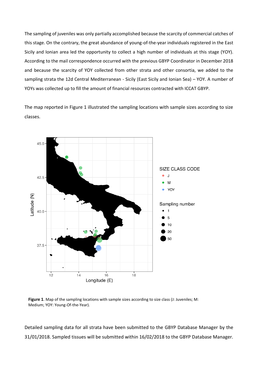The sampling of juveniles was only partially accomplished because the scarcity of commercial catches of this stage. On the contrary, the great abundance of young-of-the-year individuals registered in the East Sicily and Ionian area led the opportunity to collect a high number of individuals at this stage (YOY). According to the mail correspondence occurred with the previous GBYP Coordinator in December 2018 and because the scarcity of YOY collected from other strata and other consortia, we added to the sampling strata the 12d Central Mediterranean - Sicily (East Sicily and Ionian Sea) – YOY. A number of YOYs was collected up to fill the amount of financial resources contracted with ICCAT GBYP.

The map reported in Figure 1 illustrated the sampling locations with sample sizes according to size classes.



**Figure 1**. Map of the sampling locations with sample sizes according to size class (J: Juveniles; M: Medium; YOY: Young-Of-the-Year).

Detailed sampling data for all strata have been submitted to the GBYP Database Manager by the 31/01/2018. Sampled tissues will be submitted within 16/02/2018 to the GBYP Database Manager.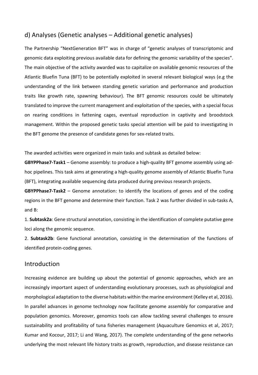## <span id="page-7-0"></span>d) Analyses (Genetic analyses – Additional genetic analyses)

The Partnership "NextGeneration BFT" was in charge of "genetic analyses of transcriptomic and genomic data exploiting previous available data for defining the genomic variability of the species". The main objective of the activity awarded was to capitalize on available genomic resources of the Atlantic Bluefin Tuna (BFT) to be potentially exploited in several relevant biological ways (e.g the understanding of the link between standing genetic variation and performance and production traits like growth rate, spawning behaviour). The BFT genomic resources could be ultimately translated to improve the current management and exploitation of the species, with a special focus on rearing conditions in fattening cages, eventual reproduction in captivity and broodstock management. Within the proposed genetic tasks special attention will be paid to investigating in the BFT genome the presence of candidate genes for sex-related traits.

The awarded activities were organized in main tasks and subtask as detailed below:

**GBYPPhase7-Task1** – Genome assembly: to produce a high-quality BFT genome assembly using adhoc pipelines. This task aims at generating a high-quality genome assembly of Atlantic Bluefin Tuna (BFT), integrating available sequencing data produced during previous research projects.

**GBYPPhase7-Task2** – Genome annotation: to identify the locations of genes and of the coding regions in the BFT genome and determine their function. Task 2 was further divided in sub-tasks A, and B:

1. **Subtask2a**: Gene structural annotation, consisting in the identification of complete putative gene loci along the genomic sequence.

2. **Subtask2b**: Gene functional annotation, consisting in the determination of the functions of identified protein-coding genes.

## <span id="page-7-1"></span>Introduction

Increasing evidence are building up about the potential of genomic approaches, which are an increasingly important aspect of understanding evolutionary processes, such as physiological and morphological adaptation to the diverse habitats within the marine environment (Kelley et al, 2016). In parallel advances in genome technology now facilitate genome assembly for comparative and population genomics. Moreover, genomics tools can allow tackling several challenges to ensure sustainability and profitability of tuna fisheries management (Aquaculture Genomics et al, 2017; Kumar and Kocour, 2017; Li and Wang, 2017). The complete understanding of the gene networks underlying the most relevant life history traits as growth, reproduction, and disease resistance can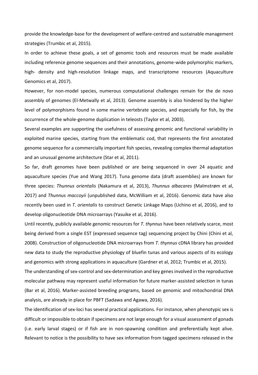provide the knowledge-base for the development of welfare-centred and sustainable management strategies (Trumbic et al, 2015).

In order to achieve these goals, a set of genomic tools and resources must be made available including reference genome sequences and their annotations, genome-wide polymorphic markers, high- density and high-resolution linkage maps, and transcriptome resources (Aquaculture Genomics et al, 2017).

However, for non-model species, numerous computational challenges remain for the de novo assembly of genomes (El-Metwally et al, 2013). Genome assembly is also hindered by the higher level of polymorphisms found in some marine vertebrate species, and especially for fish, by the occurrence of the whole-genome duplication in teleosts (Taylor et al, 2003).

Several examples are supporting the usefulness of assessing genomic and functional variability in exploited marine species, starting from the emblematic cod, that represents the first annotated genome sequence for a commercially important fish species, revealing complex thermal adaptation and an unusual genome architecture (Star et al, 2011).

So far, draft genomes have been published or are being sequenced in over 24 aquatic and aquaculture species (Yue and Wang 2017). Tuna genome data (draft assemblies) are known for three species: *Thunnus orientalis* (Nakamura et al, 2013), *Thunnus albacares* (Malmstrøm et al, 2017) and *Thunnus maccoyii* (unpublished data, McWilliam et al, 2016). Genomic data have also recently been used in *T. orientalis* to construct Genetic Linkage Maps (Uchino et al, 2016), and to develop oligonucleotide DNA microarrays (Yasuike et al, 2016).

Until recently, publicly available genomic resources for *T. thynnus* have been relatively scarce, most being derived from a single EST (expressed sequence tag) sequencing project by Chini (Chini et al, 2008). Construction of oligonucleotide DNA microarrays from *T. thynnus* cDNA library has provided new data to study the reproductive physiology of bluefin tunas and various aspects of its ecology and genomics with strong applications in aquaculture (Gardner et al, 2012; Trumbic et al, 2015).

The understanding of sex-control and sex-determination and key genes involved in the reproductive molecular pathway may represent useful information for future marker-assisted selection in tunas (Bar et al, 2016). Marker-assisted breeding programs, based on genomic and mitochondrial DNA analysis, are already in place for PBFT (Sadawa and Agawa, 2016).

The identification of sex-loci has several practical applications. For instance, when phenotypic sex is difficult or impossible to obtain if specimens are not large enough for a visual assessment of gonads (i.e. early larval stages) or if fish are in non-spawning condition and preferentially kept alive. Relevant to notice is the possibility to have sex information from tagged specimens released in the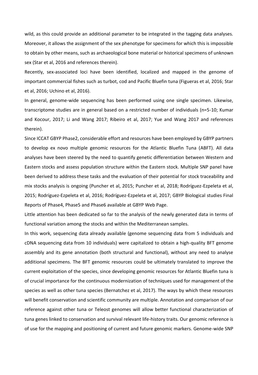wild, as this could provide an additional parameter to be integrated in the tagging data analyses. Moreover, it allows the assignment of the sex phenotype for specimens for which this is impossible to obtain by other means, such as archaeological bone material or historical specimens of unknown sex (Star et al, 2016 and references therein).

Recently, sex-associated loci have been identified, localized and mapped in the genome of important commercial fishes such as turbot, cod and Pacific Bluefin tuna (Figueras et al, 2016; Star et al, 2016; Uchino et al, 2016).

In general, genome-wide sequencing has been performed using one single specimen. Likewise, transcriptome studies are in general based on a restricted number of individuals (n=5-10; Kumar and Kocour, 2017; Li and Wang 2017; Ribeiro et al, 2017; Yue and Wang 2017 and references therein).

Since ICCAT GBYP Phase2, considerable effort and resources have been employed by GBYP partners to develop ex novo multiple genomic resources for the Atlantic Bluefin Tuna (ABFT). All data analyses have been steered by the need to quantify genetic differentiation between Western and Eastern stocks and assess population structure within the Eastern stock. Multiple SNP panel have been derived to address these tasks and the evaluation of their potential for stock traceability and mix stocks analysis is ongoing (Puncher et al, 2015; Puncher et al, 2018; Rodríguez-Ezpeleta et al, 2015; Rodríguez-Ezpeleta et al, 2016; Rodríguez-Ezpeleta et al, 2017; GBYP Biological studies Final Reports of Phase4, Phase5 and Phase6 available at GBYP Web Page.

Little attention has been dedicated so far to the analysis of the newly generated data in terms of functional variation among the stocks and within the Mediterranean samples.

In this work, sequencing data already available (genome sequencing data from 5 individuals and cDNA sequencing data from 10 individuals) were capitalized to obtain a high-quality BFT genome assembly and its gene annotation (both structural and functional), without any need to analyse additional specimens. The BFT genomic resources could be ultimately translated to improve the current exploitation of the species, since developing genomic resources for Atlantic Bluefin tuna is of crucial importance for the continuous modernization of techniques used for management of the species as well as other tuna species (Bernatchez et al, 2017). The ways by which these resources will benefit conservation and scientific community are multiple. Annotation and comparison of our reference against other tuna or Teleost genomes will allow better functional characterization of tuna genes linked to conservation and survival relevant life-history traits. Our genomic reference is of use for the mapping and positioning of current and future genomic markers. Genome-wide SNP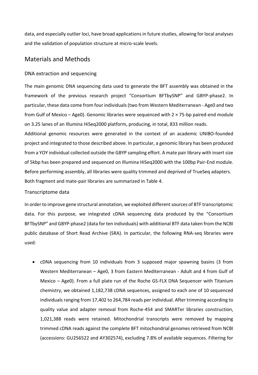data, and especially outlier loci, have broad applications in future studies, allowing for local analyses and the validation of population structure at micro-scale levels.

## <span id="page-10-0"></span>Materials and Methods

## DNA extraction and sequencing

The main genomic DNA sequencing data used to generate the BFT assembly was obtained in the framework of the previous research project "Consortium BFTbySNP" and GBYP-phase2. In particular, these data come from four individuals (two from Western Mediterranean - Age0 and two from Gulf of Mexico – Age0). Genomic libraries were sequenced with  $2 \times 75$ -bp paired-end module on 3.25 lanes of an Illumina HiSeq2000 platform, producing, in total, 833 million reads.

Additional genomic resources were generated in the context of an academic UNIBO-founded project and integrated to those described above. In particular, a genomic library has been produced from a YOY individual collected outside the GBYP sampling effort. A mate pair library with insert size of 5kbp has been prepared and sequenced on Illumina HiSeq2000 with the 100bp Pair-End module. Before performing assembly, all libraries were quality trimmed and deprived of TrueSeq adapters. Both fragment and mate-pair libraries are summarized in Table 4.

## Transcriptome data

In order to improve gene structural annotation, we exploited different sources of BTF transcriptomic data. For this purpose, we integrated cDNA sequencing data produced by the "Consortium BFTbySNP" and GBYP-phase2 (data for ten individuals) with additional BTF data taken from the NCBI public database of Short Read Archive (SRA). In particular, the following RNA-seq libraries were used:

 cDNA sequencing from 10 individuals from 3 supposed major spawning basins (3 from Western Mediterranean – Age0, 3 from Eastern Mediterranean - Adult and 4 from Gulf of Mexico – Age0). From a full plate run of the Roche GS-FLX DNA Sequencer with Titanium chemistry, we obtained 1,182,738 cDNA sequences, assigned to each one of 10 sequenced individuals ranging from 17,402 to 264,784 reads per individual. After trimming according to quality value and adapter removal from Roche-454 and SMARTer libraries construction, 1,021,388 reads were retained. Mitochondrial transcripts were removed by mapping trimmed cDNA reads against the complete BFT mitochondrial genomes retrieved from NCBI (accessions: GU256522 and AY302574), excluding 7.8% of available sequences. Filtering for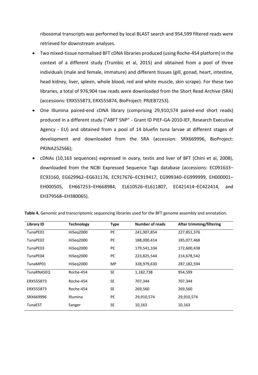ribosomal transcripts was performed by local BLAST search and 954,599 filtered reads were retrieved for downstream analyses.

- Two mixed-tissue normalised BFT cDNA libraries produced (using Roche-454 platform) in the context of a different study (Trumbic et al, 2015) and obtained from a pool of three individuals (male and female, immature) and different tissues (gill, gonad, heart, intestine, head kidney, liver, spleen, whole blood, red and white muscle, skin scrape). For these two libraries, a total of 976,904 raw reads were downloaded from the Short Read Archive (SRA) (accessions: ERX555873, ERX555874, BioProject: PRJEB7253).
- One Illumina paired-end cDNA library (comprising 29,910,574 paired-end short reads) produced in a different study ("ABFT SNP" - Grant ID PIEF-GA-2010-IEF, Research Executive Agency - EU) and obtained from a pool of 14 bluefin tuna larvae at different stages of development and downloaded from the SRA (accession: SRX669996, BioProject: PRJNA252566);
- cDNAs (10,163 sequences) expressed in ovary, testis and liver of BFT (Chini et al, 2008), downloaded from the NCBI Expressed Sequence Tags database (accessions: EC091633– EC93160, EG629962–EG631176, EC917676–EC919417, EG999340–EG999999, EH000001– EH000505, EH667253–EH668984, EL610526–EL611807, EC421414–EC422414, and EH379568–EH380065).

| <b>Library ID</b> | <b>Technology</b> | <b>Type</b> | <b>Number of reads</b> | After trimming/filtering |
|-------------------|-------------------|-------------|------------------------|--------------------------|
| TunaPE01          | HiSeg2000         | <b>PE</b>   | 241,907,854            | 227,851,376              |
| TunaPE02          | HiSeg2000         | <b>PE</b>   | 188,000,414            | 185,077,468              |
| TunaPE03          | HiSeg2000         | <b>PE</b>   | 179,541,104            | 172,600,438              |
| TunaPE04          | HiSeg2000         | <b>PE</b>   | 223,825,544            | 214,678,542              |
| TunaMP01          | HiSeq2000         | <b>MP</b>   | 328,979,630            | 287,182,594              |
| <b>TunaRNASEQ</b> | Roche-454         | <b>SE</b>   | 1,182,738              | 954,599                  |
| ERX555873         | Roche-454         | <b>SE</b>   | 707,344                | 707,344                  |
| ERX555873         | Roche-454         | <b>SE</b>   | 269,560                | 269,560                  |
| SRX669996         | Illumina          | <b>PE</b>   | 29,910,574             | 29,910,574               |
| <b>TunaEST</b>    | Sanger            | <b>SE</b>   | 10,163                 | 10,163                   |

**Table 4.** Genomic and transcriptomic sequencing libraries used for the BFT genome assembly and annotation.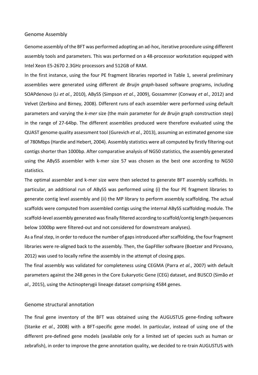#### Genome Assembly

Genome assembly of the BFT was performed adopting an ad-hoc, iterative procedure using different assembly tools and parameters. This was performed on a 48-processor workstation equipped with Intel Xeon E5-2670 2.3GHz processors and 512GB of RAM.

In the first instance, using the four PE fragment libraries reported in Table 1, several preliminary assemblies were generated using different *de Bruijn graph*-based software programs, including SOAPdenovo (Li *et al.*, 2010), ABySS (Simpson *et al.*, 2009), Gossammer (Conway *et al.*, 2012) and Velvet (Zerbino and Birney, 2008). Different runs of each assembler were performed using default parameters and varying the *k-mer* size (the main parameter for *de Bruijn* graph construction step) in the range of 27-64bp. The different assemblies produced were therefore evaluated using the QUAST genome quality assessment tool (Gurevich *et al.*, 2013), assuming an estimated genome size of 780Mbps (Hardie and Hebert, 2004). Assembly statistics were all computed by firstly filtering-out contigs shorter than 1000bp. After comparative analysis of NG50 statistics, the assembly generated using the ABySS assembler with k-mer size 57 was chosen as the best one according to NG50 statistics.

The optimal assembler and k-mer size were then selected to generate BFT assembly scaffolds. In particular, an additional run of ABySS was performed using (i) the four PE fragment libraries to generate contig level assembly and (ii) the MP library to perform assembly scaffolding. The actual scaffolds were computed from assembled contigs using the internal ABySS scaffolding module. The scaffold-level assembly generated was finally filtered according to scaffold/contig length (sequences below 1000bp were filtered-out and not considered for downstream analyses).

As a final step, in order to reduce the number of gaps introduced after scaffolding, the four fragment libraries were re-aligned back to the assembly. Then, the GapFIller software (Boetzer and Pirovano, 2012) was used to locally refine the assembly in the attempt of closing gaps.

The final assembly was validated for completeness using CEGMA (Parra *et al.*, 2007) with default parameters against the 248 genes in the Core Eukaryotic Gene (CEG) dataset, and BUSCO (Simão *et al.,* 2015), using the Actinopterygii lineage dataset comprising 4584 genes.

#### Genome structural annotation

The final gene inventory of the BFT was obtained using the AUGUSTUS gene-finding software (Stanke *et al.*, 2008) with a BFT-specific gene model. In particular, instead of using one of the different pre-defined gene models (available only for a limited set of species such as human or zebrafish), in order to improve the gene annotation quality, we decided to re-train AUGUSTUS with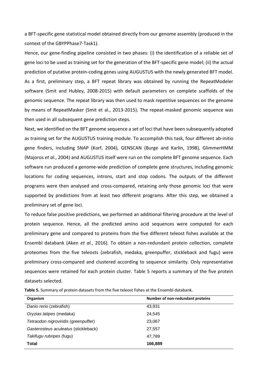a BFT-specific gene statistical model obtained directly from our genome assembly (produced in the context of the GBYPPhase7-Task1).

Hence, our gene-finding pipeline consisted in two phases: (i) the identification of a reliable set of gene loci to be used as training set for the generation of the BFT-specific gene model; (ii) the actual prediction of putative protein-coding genes using AUGUSTUS with the newly generated BFT model. As a first, preliminary step, a BFT repeat library was obtained by running the RepeatModeler software (Smit and Hubley, 2008-2015) with default parameters on complete scaffolds of the genomic sequence. The repeat library was then used to mask repetitive sequences on the genome by means of RepeatMasker (Smit et al., 2013-2015). The repeat-masked genomic sequence was then used in all subsequent gene prediction steps.

Next, we identified on the BFT genome sequence a set of loci that have been subsequently adopted as training set for the AUGUSTUS training module. To accomplish this task, four different ab-initio gene finders, including SNAP (Korf, 2004), GENSCAN (Burge and Karlin, 1998), GlimmerHMM (Majoros *et al.*, 2004) and AUGUSTUS itself were run on the complete BFT genome sequence. Each software run produced a genome-wide prediction of complete gene structures, including genomic locations for coding sequences, introns, start and stop codons. The outputs of the different programs were then analysed and cross-compared, retaining only those genomic loci that were supported by predictions from at least two different programs. After this step, we obtained a preliminary set of gene loci.

To reduce false positive predictions, we performed an additional filtering procedure at the level of protein sequence. Hence, all the predicted amino acid sequences were computed for each preliminary gene and compared to proteins from the five different teleost fishes available at the Ensembl databank (Aken *et al.*, 2016). To obtain a non-redundant protein collection, complete proteomes from the five teleosts (zebrafish, medaka, greenpuffer, stickleback and fugu) were preliminary cross-compared and clustered according to sequence similarity. Only representative sequences were retained for each protein cluster. Table 5 reports a summary of the five protein datasets selected.

**Table 5.** Summary of protein datasets from the five teleost fishes at the Ensembl databank.

| Organism                             | Number of non-redundant proteins |
|--------------------------------------|----------------------------------|
| Danio rerio (zebrafish)              | 43,931                           |
| Oryzias latipes (medaka)             | 24,545                           |
| Tetraodon nigroviridis (greenpuffer) | 23,067                           |
| Gasterosteus aculeatus (stickleback) | 27,557                           |
| Takifugu rubripes (fugu)             | 47,789                           |
| <b>Total</b>                         | 166,889                          |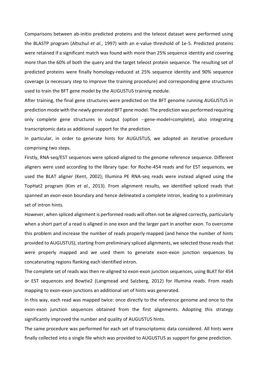Comparisons between ab-initio predicted proteins and the teleost dataset were performed using the BLASTP program (Altschul *et al.*, 1997) with an e-value threshold of 1e-5. Predicted proteins were retained if a significant match was found with more than 25% sequence identity and covering more than the 60% of both the query and the target teleost protein sequence. The resulting set of predicted proteins were finally homology-reduced at 25% sequence identity and 90% sequence coverage (a necessary step to improve the training procedure) and corresponding gene structures used to train the BFT gene model by the AUGUSTUS training module.

After training, the final gene structures were predicted on the BFT genome running AUGUSTUS in prediction mode with the newly generated BFT gene model. The prediction was performed requiring only complete gene structures in output (option --gene-model=complete), also integrating transcriptomic data as additional support for the prediction.

In particular, in order to generate hints for AUGUSTUS, we adopted an iterative procedure comprising two steps.

Firstly, RNA-seq/EST sequences were spliced-aligned to the genome reference sequence. Different aligners were used according to the library type: for Roche-454 reads and for EST sequences, we used the BLAT aligner (Kent, 2002); Illumina PE RNA-seq reads were instead aligned using the TopHat2 program (Kim *et al.*, 2013). From alignment results, we identified spliced reads that spanned an exon-exon boundary and hence delineated a complete intron, leading to a preliminary set of intron hints.

However, when spliced alignment is performed reads will often not be aligned correctly, particularly when a short part of a read is aligned in one exon and the larger part in another exon. To overcome this problem and increase the number of reads properly mapped (and hence the number of hints provided to AUGUSTUS), starting from preliminary spliced alignments, we selected those reads that were properly mapped and we used them to generate exon-exon junction sequences by concatenating regions flanking each identified intron.

The complete set of reads was then re-aligned to exon-exon junction sequences, using BLAT for 454 or EST sequences and Bowtie2 (Langmead and Salzberg, 2012) for Illumina reads. From reads mapping to exon-exon junctions an additional set of hints was generated.

In this way, each read was mapped twice: once directly to the reference genome and once to the exon-exon junction sequences obtained from the first alignments. Adopting this strategy significantly improved the number and quality of AUGUSTUS hints.

The same procedure was performed for each set of transcriptomic data considered. All hints were finally collected into a single file which was provided to AUGUSTUS as support for gene prediction.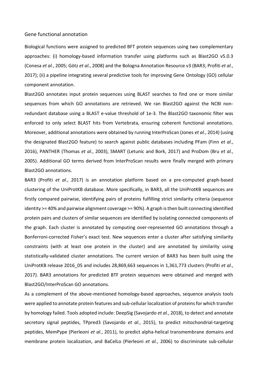#### Gene functional annotation

Biological functions were assigned to predicted BFT protein sequences using two complementary approaches: (i) homology-based information transfer using platforms such as Blast2GO v5.0.3 (Conesa *et al.*, 2005; Götz *et al.*, 2008) and the Bologna Annotation Resource v3 (BAR3; Profiti *et al.*, 2017); (ii) a pipeline integrating several predictive tools for improving Gene Ontology (GO) cellular component annotation.

Blast2GO annotates input protein sequences using BLAST searches to find one or more similar sequences from which GO annotations are retrieved. We ran Blast2GO against the NCBI nonredundant database using a BLAST e-value threshold of 1e-3. The Blast2GO taxonomic filter was enforced to only select BLAST hits from Vertebrata, ensuring coherent functional annotations. Moreover, additional annotations were obtained by running InterProScan (Jones *et al.*, 2014) (using the designated Blast2GO feature) to search against public databases including PFam (Finn *et al.*, 2016), PANTHER (Thomas *et al.*, 2003), SMART (Letunic and Bork, 2017) and ProDom (Bru *et al.*, 2005). Additional GO terms derived from InterProScan results were finally merged with primary Blast2GO annotations.

BAR3 (Profiti *et al.*, 2017) is an annotation platform based on a pre-computed graph-based clustering of the UniProtKB database. More specifically, in BAR3, all the UniProtKB sequences are firstly compared pairwise, identifying pairs of proteins fulfilling strict similarity criteria (sequence identity >= 40% and pairwise alignment coverage >= 90%). A graph is then built connecting identified protein pairs and clusters of similar sequences are identified by isolating connected components of the graph. Each cluster is annotated by computing over-represented GO annotations through a Bonferroni-corrected Fisher's exact test. New sequences enter a cluster after satisfying similarity constraints (with at least one protein in the cluster) and are annotated by similarity using statistically-validated cluster annotations. The current version of BAR3 has been built using the UniProtKB release 2016\_05 and includes 28,869,663 sequences in 1,361,773 clusters (Profiti *et al.*, 2017). BAR3 annotations for predicted BTF protein sequences were obtained and merged with Blast2GO/InterProScan GO annotations.

As a complement of the above-mentioned homology-based approaches, sequence analysis tools were applied to annotate protein features and sub-cellular localization of proteins for which transfer by homology failed. Tools adopted include: DeepSig (Savojardo *et al.*, 2018), to detect and annotate secretory signal peptides, TPpred3 (Savojardo *et al.*, 2015), to predict mitochondrial-targeting peptides, MemPype (Pierleoni *et al.*, 2011), to predict alpha-helical transmembrane domains and membrane protein localization, and BaCelLo (Pierleoni *et al.*, 2006) to discriminate sub-cellular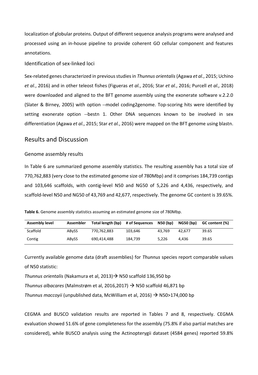localization of globular proteins. Output of different sequence analysis programs were analysed and processed using an in-house pipeline to provide coherent GO cellular component and features annotations.

### Identification of sex-linked loci

Sex-related genes characterized in previous studies in *Thunnus orientalis*(Agawa *et al.*, 2015; Uchino *et al.*, 2016) and in other teleost fishes (Figueras *et al.*, 2016; Star *et al.*, 2016; Purcell *et al.,* 2018) were downloaded and aligned to the BFT genome assembly using the exonerate software v.2.2.0 (Slater & Birney, 2005) with option --model coding2genome. Top-scoring hits were identified by setting exonerate option --bestn 1. Other DNA sequences known to be involved in sex differentiation (Agawa *et al.*, 2015; Star *et al.*, 2016) were mapped on the BFT genome using blastn.

## <span id="page-16-0"></span>Results and Discussion

### Genome assembly results

In Table 6 are summarized genome assembly statistics. The resulting assembly has a total size of 770,762,883 (very close to the estimated genome size of 780Mbp) and it comprises 184,739 contigs and 103,646 scaffolds, with contig-level N50 and NG50 of 5,226 and 4,436, respectively, and scaffold-level N50 and NG50 of 43,769 and 42,677, respectively. The genome GC content is 39.65%.

**Table 6.** Genome assembly statistics assuming an estimated genome size of 780Mbp.

| <b>Assembly level</b> | <b>Assembler</b> | Total length (bp) | # of Sequences | N50 (bp) | <b>NG50 (bp)</b> | GC content (%) |
|-----------------------|------------------|-------------------|----------------|----------|------------------|----------------|
| Scaffold              | <b>ABvSS</b>     | 770.762.883       | 103.646        | 43.769   | 42.677           | 39.65          |
| Contig                | <b>ABvSS</b>     | 690,414,488       | 184.739        | 5.226    | 4.436            | 39.65          |

Currently available genome data (draft assemblies) for *Thunnus* species report comparable values of N50 statistic:

*Thunnus orientalis* (Nakamura et al, 2013) → N50 scaffold 136,950 bp

*Thunnus albacares* (Malmstrøm et al, 2016,2017) N50 scaffold 46,871 bp

*Thunnus maccoyii* (unpublished data, McWilliam et al, 2016)  $\rightarrow$  N50>174,000 bp

CEGMA and BUSCO validation results are reported in Tables 7 and 8, respectively. CEGMA evaluation showed 51.6% of gene completeness for the assembly (75.8% if also partial matches are considered), while BUSCO analysis using the Actinopterygii dataset (4584 genes) reported 59.8%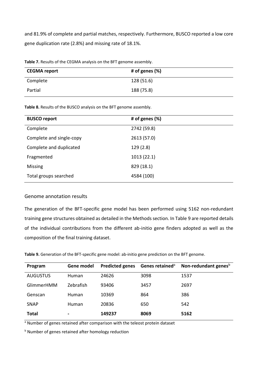and 81.9% of complete and partial matches, respectively. Furthermore, BUSCO reported a low core gene duplication rate (2.8%) and missing rate of 18.1%.

| <b>Takis 71 Results of the deditional properties</b> on the Bill Renome assembly. |                   |  |
|-----------------------------------------------------------------------------------|-------------------|--|
| <b>CEGMA report</b>                                                               | # of genes $(\%)$ |  |
| Complete                                                                          | 128 (51.6)        |  |
| Partial                                                                           | 188 (75.8)        |  |

**Table 7.** Results of the CEGMA analysis on the BFT genome assembly.

**Table 8.** Results of the BUSCO analysis on the BFT genome assembly.

| <b>BUSCO report</b>      | # of genes (%) |
|--------------------------|----------------|
| Complete                 | 2742 (59.8)    |
| Complete and single-copy | 2613 (57.0)    |
| Complete and duplicated  | 129(2.8)       |
| Fragmented               | 1013 (22.1)    |
| <b>Missing</b>           | 829 (18.1)     |
| Total groups searched    | 4584 (100)     |

## Genome annotation results

The generation of the BFT-specific gene model has been performed using 5162 non-redundant training gene structures obtained as detailed in the Methods section. In Table 9 are reported details of the individual contributions from the different ab-initio gene finders adopted as well as the composition of the final training dataset.

**Table 9.** Generation of the BFT-specific gene model: ab-initio gene prediction on the BFT genome.

| Program           | Gene model     | <b>Predicted genes</b> | Genes retained <sup>a</sup> | Non-redundant genes <sup>b</sup> |
|-------------------|----------------|------------------------|-----------------------------|----------------------------------|
| <b>AUGUSTUS</b>   | <b>Human</b>   | 24626                  | 3098                        | 1537                             |
| <b>GlimmerHMM</b> | Zebrafish      | 93406                  | 3457                        | 2697                             |
| Genscan           | <b>Human</b>   | 10369                  | 864                         | 386                              |
| <b>SNAP</b>       | <b>Human</b>   | 20836                  | 650                         | 542                              |
| <b>Total</b>      | $\blacksquare$ | 149237                 | 8069                        | 5162                             |

<sup>a</sup> Number of genes retained after comparison with the teleost protein dataset

**b** Number of genes retained after homology reduction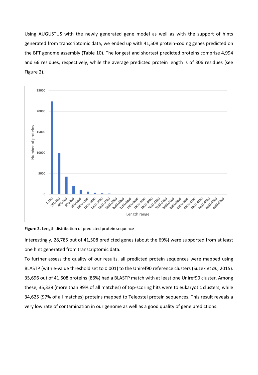Using AUGUSTUS with the newly generated gene model as well as with the support of hints generated from transcriptomic data, we ended up with 41,508 protein-coding genes predicted on the BFT genome assembly (Table 10). The longest and shortest predicted proteins comprise 4,994 and 66 residues, respectively, while the average predicted protein length is of 306 residues (see Figure 2).



**Figure 2.** Length distribution of predicted protein sequence

Interestingly, 28,785 out of 41,508 predicted genes (about the 69%) were supported from at least one hint generated from transcriptomic data.

To further assess the quality of our results, all predicted protein sequences were mapped using BLASTP (with e-value threshold set to 0.001) to the Uniref90 reference clusters (Suzek *et al.*, 2015). 35,696 out of 41,508 proteins (86%) had a BLASTP match with at least one Uniref90 cluster. Among these, 35,339 (more than 99% of all matches) of top-scoring hits were to eukaryotic clusters, while 34,625 (97% of all matches) proteins mapped to Teleostei protein sequences. This result reveals a very low rate of contamination in our genome as well as a good quality of gene predictions.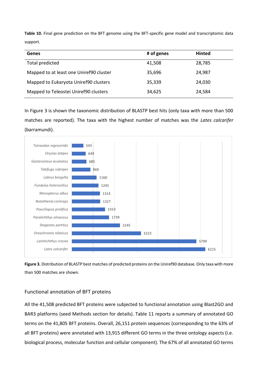**Table 10.** Final gene prediction on the BFT genome using the BFT-specific gene model and transcriptomic data support.

| <b>Genes</b>                            | # of genes | <b>Hinted</b> |
|-----------------------------------------|------------|---------------|
| Total predicted                         | 41,508     | 28,785        |
| Mapped to at least one Uniref90 cluster | 35,696     | 24,987        |
| Mapped to Eukaryota Uniref90 clusters   | 35,339     | 24,030        |
| Mapped to Teleostei Uniref90 clusters   | 34,625     | 24,584        |

In Figure 3 is shown the taxonomic distribution of BLASTP best hits (only taxa with more than 500 matches are reported). The taxa with the highest number of matches was the *Lates calcarifer* (barramundi).



**Figure 3.** Distribution of BLASTP best matches of predicted proteins on the Uniref90 database. Only taxa with more than 500 matches are shown.

## Functional annotation of BFT proteins

All the 41,508 predicted BFT proteins were subjected to functional annotation using Blast2GO and BAR3 platforms (seed Methods section for details). Table 11 reports a summary of annotated GO terms on the 41,805 BFT proteins. Overall, 26,151 protein sequences (corresponding to the 63% of all BFT proteins) were annotated with 13,915 different GO terms in the three ontology aspects (i.e. biological process, molecular function and cellular component). The 67% of all annotated GO terms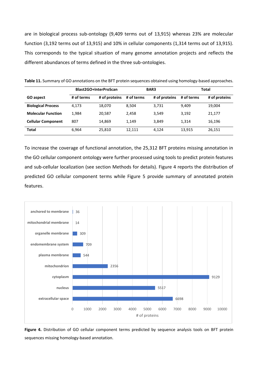are in biological process sub-ontology (9,409 terms out of 13,915) whereas 23% are molecular function (3,192 terms out of 13,915) and 10% in cellular components (1,314 terms out of 13,915). This corresponds to the typical situation of many genome annotation projects and reflects the different abundances of terms defined in the three sub-ontologies.

|                           | Blast2GO+InterProScan |               |            | BAR3          | Total      |               |  |
|---------------------------|-----------------------|---------------|------------|---------------|------------|---------------|--|
| <b>GO</b> aspect          | # of terms            | # of proteins | # of terms | # of proteins | # of terms | # of proteins |  |
| <b>Biological Process</b> | 4.173                 | 18,070        | 8,504      | 3,731         | 9,409      | 19,004        |  |
| <b>Molecular Function</b> | 1.984                 | 20,587        | 2,458      | 3,549         | 3,192      | 21,177        |  |
| <b>Cellular Component</b> | 807                   | 14.869        | 1.149      | 3,849         | 1,314      | 16,196        |  |
| <b>Total</b>              | 6.964                 | 25,810        | 12,111     | 4,124         | 13,915     | 26,151        |  |

**Table 11.** Summary of GO annotations on the BFT protein sequences obtained using homology-based approaches.

To increase the coverage of functional annotation, the 25,312 BFT proteins missing annotation in the GO cellular component ontology were further processed using tools to predict protein features and sub-cellular localization (see section Methods for details). Figure 4 reports the distribution of predicted GO cellular component terms while Figure 5 provide summary of annotated protein features.



Figure 4. Distribution of GO cellular component terms predicted by sequence analysis tools on BFT protein sequences missing homology-based annotation.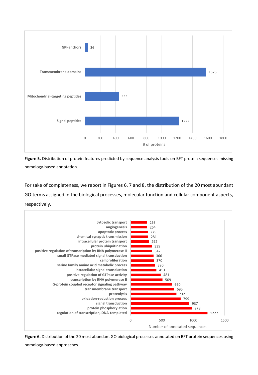

**Figure 5.** Distribution of protein features predicted by sequence analysis tools on BFT protein sequences missing homology-based annotation.

For sake of completeness, we report in Figures 6, 7 and 8, the distribution of the 20 most abundant GO terms assigned in the biological processes, molecular function and cellular component aspects, respectively.



**Figure 6.** Distribution of the 20 most abundant GO biological processes annotated on BFT protein sequences using homology-based approaches.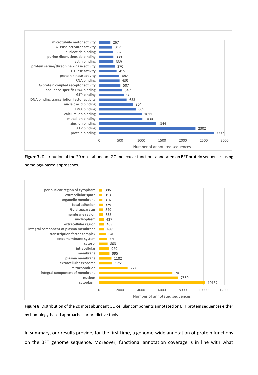

**Figure 7.** Distribution of the 20 most abundant GO molecular functions annotated on BFT protein sequences using

homology-based approaches.



**Figure 8.** Distribution of the 20 most abundant GO cellular components annotated on BFT protein sequences either by homology-based approaches or predictive tools.

In summary, our results provide, for the first time, a genome-wide annotation of protein functions on the BFT genome sequence. Moreover, functional annotation coverage is in line with what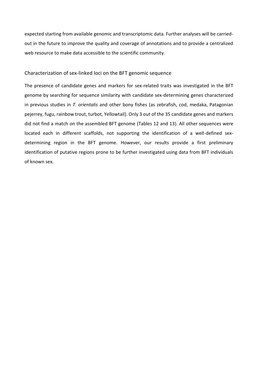expected starting from available genomic and transcriptomic data. Further analyses will be carriedout in the future to improve the quality and coverage of annotations and to provide a centralized web resource to make data accessible to the scientific community.

### Characterization of sex-linked loci on the BFT genomic sequence

The presence of candidate genes and markers for sex-related traits was investigated in the BFT genome by searching for sequence similarity with candidate sex-determining genes characterized in previous studies in *T. orientalis* and other bony fishes (as zebrafish, cod, medaka, Patagonian pejerrey, fugu, rainbow trout, turbot, Yellowtail). Only 3 out of the 35 candidate genes and markers did not find a match on the assembled BFT genome (Tables 12 and 13). All other sequences were located each in different scaffolds, not supporting the identification of a well-defined sexdetermining region in the BFT genome. However, our results provide a first preliminary identification of putative regions prone to be further investigated using data from BFT individuals of known sex.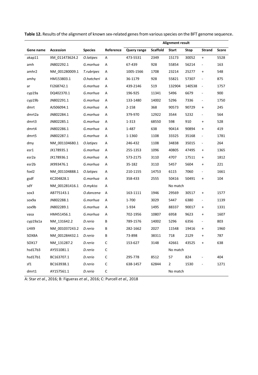|                    |                |                |             | <b>Alignment result</b> |                 |              |        |                                  |       |
|--------------------|----------------|----------------|-------------|-------------------------|-----------------|--------------|--------|----------------------------------|-------|
| Gene name          | Accession      | <b>Species</b> | Reference   | <b>Query range</b>      | <b>Scaffold</b> | <b>Start</b> | Stop   | <b>Strand</b>                    | Score |
| akap11             | XM_011473624.2 | O.latipes      | A           | 473-5531                | 2349            | 15173        | 30052  | $\ddot{}$                        | 5528  |
| amh                | JN802292.1     | G.morhua       | Α           | 67-439                  | 928             | 55854        | 56214  |                                  | 163   |
| amhr2              | NM_001280009.1 | T.rubripes     | Α           | 1005-1566               | 1708            | 23214        | 25277  | $\ddot{}$                        | 548   |
| amhy               | HM153803.1     | O.hatcheri     | Α           | 36-1179                 | 928             | 55821        | 57307  | $\overline{\phantom{m}}$         | 875   |
| ar                 | FJ268742.1     | G.morhua       | Α           | 439-2146                | 519             | 132904       | 140538 | $\overline{\phantom{a}}$         | 1757  |
| cyp19a             | DQ402370.1     | G.morhua       | А           | 196-925                 | 11341           | 5496         | 6679   | Ĭ.                               | 900   |
| cyp19b             | JN802291.1     | G.morhua       | Α           | 133-1480                | 14002           | 5296         | 7336   | $\qquad \qquad \blacksquare$     | 1750  |
| dmrt               | AJ506094.1     | G.morhua       | А           | 2-158                   | 368             | 90573        | 90729  | $\ddot{}$                        | 245   |
| dmrt2a             | JN802284.1     | G.morhua       | Α           | 379-970                 | 12922           | 3544         | 5232   | $\qquad \qquad \blacksquare$     | 564   |
| dmrt3              | JN802285.1     | G.morhua       | А           | 1-313                   | 68550           | 598          | 910    | $\ddot{}$                        | 528   |
| dmrt4              | JN802286.1     | G.morhua       | Α           | 1-487                   | 638             | 90414        | 90894  | $\begin{array}{c} + \end{array}$ | 419   |
| dmrt5              | JN802287.1     | G.morhua       | Α           | 1-1360                  | 1108            | 33325        | 35168  | $\overline{\phantom{a}}$         | 1781  |
| dmy                | NM_001104680.1 | O.latipes      | Α           | 246-432                 | 1108            | 34838        | 35015  | $\overline{\phantom{0}}$         | 264   |
| esr1               | JX178935.1     | G.morhua       | Α           | 255-1353                | 1096            | 40805        | 47495  | $\begin{array}{c} + \end{array}$ | 1365  |
| esr <sub>2</sub> a | JX178936.1     | G.morhua       | Α           | 573-2175                | 3110            | 4707         | 17511  | $\ddot{}$                        | 1812  |
| esr2b              | JK993476.1     | G.morhua       | А           | 35-182                  | 3110            | 5457         | 5604   | $\begin{array}{c} + \end{array}$ | 221   |
| foxl <sub>2</sub>  | NM 001104888.1 | O.latipes      | Α           | 210-1155                | 14753           | 6115         | 7060   | $\overline{\phantom{0}}$         | 1661  |
| gsdf               | KC204828.1     | G.morhua       | Α           | 358-433                 | 2555            | 50416        | 50491  | $\begin{array}{c} + \end{array}$ | 104   |
| sdY                | NM_001281416.1 | O.mykiss       | Α           | No match                |                 |              |        |                                  |       |
| sox3               | AB775143.1     | O.dancena      | Α           | 163-1111                | 1946            | 29569        | 30517  | $\begin{array}{c} + \end{array}$ | 1577  |
| sox9a              | JN802288.1     | G.morhua       | А           | 1-700                   | 3029            | 5447         | 6380   | $\overline{\phantom{0}}$         | 1139  |
| sox9b              | JN802289.1     | G.morhua       | Α           | 1-934                   | 1495            | 88337        | 90017  | $\ddot{}$                        | 1331  |
| vasa               | HM451456.1     | G.morhua       | А           | 702-1956                | 10807           | 6958         | 9623   | $\begin{array}{c} + \end{array}$ | 1607  |
| cyp19a1a           | NM 131642.2    | D.rerio        | В           | 789-1576                | 14002           | 5296         | 6356   | $\overline{\phantom{0}}$         | 803   |
| LHX9               | NM 001037243.2 | D.rerio        | В           | 282-1662                | 2027            | 11548        | 19416  | $\begin{array}{c} + \end{array}$ | 1960  |
| SOX8A              | NM 001284432.1 | D.rerio        | В           | 73-898                  | 38311           | 718          | 2129   | $\pmb{+}$                        | 787   |
| SOX17              | NM 131287.2    | D.rerio        | $\mathsf C$ | 153-627                 | 3148            | 42661        | 43525  | $\ddot{}$                        | 638   |
| hsd17b3            | AY551081.1     | D.rerio        | $\mathsf C$ | No match                |                 |              |        |                                  |       |
| hsd17b1            | BC163707.1     | D.rerio        | $\mathsf C$ | 295-778                 | 8512            | 57           | 824    |                                  | 404   |
| sf1                | BC163938.1     | D.rerio        | С           | 638-1457                | 62844           | $\mathbf{2}$ | 1530   |                                  | 1271  |
| dmrt1              | AY157561.1     | D.rerio        | $\mathsf C$ | No match                |                 |              |        |                                  |       |

**Table 12.** Results of the alignment of known sex-related genes from various species on the BFT genome sequence.

A: Star *et al.*, 2016; B: Figueras *et al.*, 2016; C: Purcell *et al.,* 2018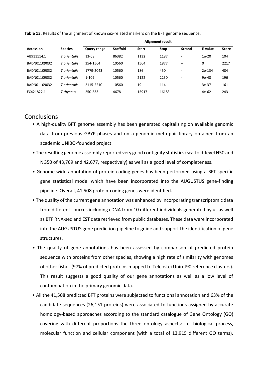|                | <b>Alignment result</b> |                 |              |       |               |         |              |  |  |  |
|----------------|-------------------------|-----------------|--------------|-------|---------------|---------|--------------|--|--|--|
| <b>Species</b> | <b>Query range</b>      | <b>Scaffold</b> | <b>Start</b> | Stop  | <b>Strand</b> | E-value | <b>Score</b> |  |  |  |
| T.orientalis   | 13-68                   | 86382           | 1132         | 1187  | ۰             | $1e-20$ | 104          |  |  |  |
| T.orientalis   | 354-1564                | 10560           | 1564         | 1877  | $\ddot{}$     | 0       | 2217         |  |  |  |
| T.orientalis   | 1779-2043               | 10560           | 186          | 450   | ٠             | 2e-134  | 484          |  |  |  |
| T.orientalis   | $1 - 109$               | 10560           | 2122         | 2230  | ۰             | $9e-48$ | 196          |  |  |  |
| T.orientalis   | 2115-2210               | 10560           | 19           | 114   | ۰             | $3e-37$ | 161          |  |  |  |
| T.thynnus      | 250-533                 | 4678            | 15917        | 16183 | $\ddot{}$     | 4e-62   | 243          |  |  |  |
|                |                         |                 |              |       |               |         |              |  |  |  |

**Table 13.** Results of the alignment of known sex-related markers on the BFT genome sequence.

# <span id="page-25-0"></span>**Conclusions**

- A high-quality BFT genome assembly has been generated capitalizing on available genomic data from previous GBYP-phases and on a genomic meta-pair library obtained from an academic UNIBO-founded project.
- The resulting genome assembly reported very good contiguity statistics (scaffold-level N50 and NG50 of 43,769 and 42,677, respectively) as well as a good level of completeness.
- Genome-wide annotation of protein-coding genes has been performed using a BFT-specific gene statistical model which have been incorporated into the AUGUSTUS gene-finding pipeline. Overall, 41,508 protein-coding genes were identified.
- The quality of the current gene annotation was enhanced by incorporating transcriptomic data from different sources including cDNA from 10 different individuals generated by us as well as BTF RNA-seq and EST data retrieved from public databases. These data were incorporated into the AUGUSTUS gene prediction pipeline to guide and support the identification of gene structures.
- The quality of gene annotations has been assessed by comparison of predicted protein sequence with proteins from other species, showing a high rate of similarity with genomes of other fishes (97% of predicted proteins mapped to Teleostei Uniref90 reference clusters). This result suggests a good quality of our gene annotations as well as a low level of contamination in the primary genomic data.
- All the 41,508 predicted BFT proteins were subjected to functional annotation and 63% of the candidate sequences (26,151 proteins) were associated to functions assigned by accurate homology-based approaches according to the standard catalogue of Gene Ontology (GO) covering with different proportions the three ontology aspects: i.e. biological process, molecular function and cellular component (with a total of 13,915 different GO terms).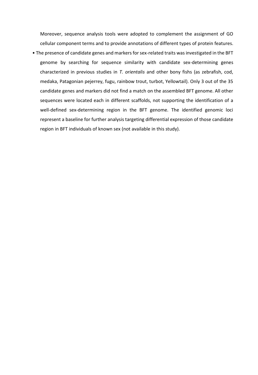Moreover, sequence analysis tools were adopted to complement the assignment of GO cellular component terms and to provide annotations of different types of protein features.

• The presence of candidate genes and markers for sex-related traits was investigated in the BFT genome by searching for sequence similarity with candidate sex-determining genes characterized in previous studies in *T. orientalis* and other bony fishs (as zebrafish, cod, medaka, Patagonian pejerrey, fugu, rainbow trout, turbot, Yellowtail). Only 3 out of the 35 candidate genes and markers did not find a match on the assembled BFT genome. All other sequences were located each in different scaffolds, not supporting the identification of a well-defined sex-determining region in the BFT genome. The identified genomic loci represent a baseline for further analysis targeting differential expression of those candidate region in BFT individuals of known sex (not available in this study).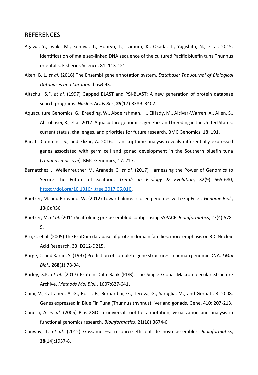### <span id="page-27-0"></span>REFERENCES

- Agawa, Y., Iwaki, M., Komiya, T., Honryo, T., Tamura, K., Okada, T., Yagishita, N., et al. 2015. Identification of male sex-linked DNA sequence of the cultured Pacific bluefin tuna Thunnus orientalis. Fisheries Science, 81: 113-121.
- Aken, B. L. *et al.* (2016) The Ensembl gene annotation system. *Database: The Journal of Biological Databases and Curation*, baw093.
- Altschul, S.F. *et al.* (1997) Gapped BLAST and PSI-BLAST: A new generation of protein database search programs. *Nucleic Acids Res*, **25**(17):3389–3402.
- Aquaculture Genomics, G., Breeding, W., Abdelrahman, H., ElHady, M., Alcivar-Warren, A., Allen, S., Al-Tobasei, R., et al. 2017. Aquaculture genomics, genetics and breeding in the United States: current status, challenges, and priorities for future research. BMC Genomics, 18: 191.
- Bar, I., Cummins, S., and Elizur, A. 2016. Transcriptome analysis reveals differentially expressed genes associated with germ cell and gonad development in the Southern bluefin tuna (*Thunnus maccoyii*). BMC Genomics, 17: 217.
- Bernatchez L, Wellenreuther M, Araneda C, *et al.* (2017) Harnessing the Power of Genomics to Secure the Future of Seafood. *Trends in Ecology & Evolution*, 32(9) 665-680, [https://doi.org/10.1016/j.tree.2017.06.010.](https://doi.org/10.1016/j.tree.2017.06.010)
- Boetzer, M. and Pirovano, W. (2012) Toward almost closed genomes with GapFiller. *Genome Biol.*, **13**(6):R56.
- Boetzer, M. *et al*. (2011) Scaffolding pre-assembled contigs using SSPACE. *Bioinformatics*, 27(4):578- 9.
- Bru, C. et al. (2005) The ProDom database of protein domain families: more emphasis on 3D. Nucleic Acid Research, 33: D212-D215.
- Burge, C. and Karlin, S. (1997) Prediction of complete gene structures in human genomic DNA. *J Mol Biol.,* **268**(1):78-94.
- Burley, S.K. *et al.* (2017) Protein Data Bank (PDB): The Single Global Macromolecular Structure Archive. *Methods Mol Biol.*, 1607:627-641.
- Chini, V., Cattaneo, A. G., Rossi, F., Bernardini, G., Terova, G., Saroglia, M., and Gornati, R. 2008. Genes expressed in Blue Fin Tuna (Thunnus thynnus) liver and gonads. Gene, 410: 207-213.
- Conesa, A. *et al.* (2005) Blast2GO: a universal tool for annotation, visualization and analysis in functional genomics research. *Bioinformatics*, 21(18):3674-6.
- Conway, T. *et al.* (2012) Gossamer—a resource-efficient de novo assembler. *Bioinformatics*, **28**(14):1937-8.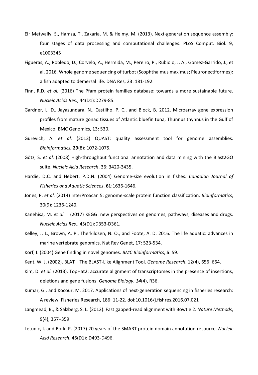- El‑ Metwally, S., Hamza, T., Zakaria, M. & Helmy, M. (2013). Next-generation sequence assembly: four stages of data processing and computational challenges. PLoS Comput. Biol. 9, e1003345
- Figueras, A., Robledo, D., Corvelo, A., Hermida, M., Pereiro, P., Rubiolo, J. A., Gomez-Garrido, J., et al. 2016. Whole genome sequencing of turbot (Scophthalmus maximus; Pleuronectiformes): a fish adapted to demersal life. DNA Res, 23: 181-192.
- Finn, R.D. *et al.* (2016) The Pfam protein families database: towards a more sustainable future. *Nucleic Acids Res.*, 44(D1):D279-85.
- Gardner, L. D., Jayasundara, N., Castilho, P. C., and Block, B. 2012. Microarray gene expression profiles from mature gonad tissues of Atlantic bluefin tuna, Thunnus thynnus in the Gulf of Mexico. BMC Genomics, 13: 530.
- Gurevich, A. *et al.* (2013) QUAST: quality assessment tool for genome assemblies. *Bioinformatics,* **29**(8): 1072-1075.
- Götz, S. *et al.* (2008) High-throughput functional annotation and data mining with the Blast2GO suite. *Nucleic Acid Research*, 36: 3420-3435.
- Hardie, D.C. and Hebert, P.D.N. (2004) Genome-size evolution in fishes. *Canadian Journal of Fisheries and Aquatic Sciences*, **61**:1636-1646.
- Jones, P. *et al.* (2014) InterProScan 5: genome-scale protein function classification. *Bioinformatics*, 30(9): 1236-1240.
- Kanehisa, M. *et al.* (2017) KEGG: new perspectives on genomes, pathways, diseases and drugs. *Nucleic Acids Res.*, 45(D1):D353-D361.
- Kelley, J. L., Brown, A. P., Therkildsen, N. O., and Foote, A. D. 2016. The life aquatic: advances in marine vertebrate genomics. Nat Rev Genet, 17: 523-534.
- Korf, I. (2004) Gene finding in novel genomes. *BMC Bioinformatics*, **5**: 59.
- Kent, W. J. (2002). BLAT—The BLAST-Like Alignment Tool. *Genome Research*, 12(4), 656–664.
- Kim, D. *et al.* (2013). TopHat2: accurate alignment of transcriptomes in the presence of insertions, deletions and gene fusions. *Genome Biology*, *14*(4), R36.
- Kumar, G., and Kocour, M. 2017. Applications of next-generation sequencing in fisheries research: A review. Fisheries Research, 186: 11-22. doi:10.1016/j.fishres.2016.07.021
- Langmead, B., & Salzberg, S. L. (2012). Fast gapped-read alignment with Bowtie 2. *Nature Methods*, 9(4), 357–359.
- Letunic, I. and Bork, P. (2017) 20 years of the SMART protein domain annotation resource. *Nucleic Acid Research*, 46(D1): D493-D496.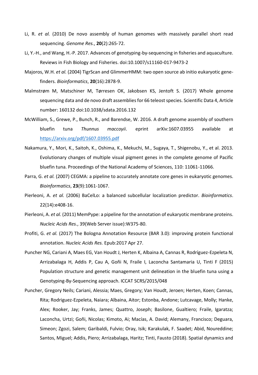- Li, R. *et al.* (2010) De novo assembly of human genomes with massively parallel short read sequencing. *Genome Res.*, **20**(2):265-72.
- Li, Y.-H., and Wang, H.-P. 2017. Advances of genotyping-by-sequencing in fisheries and aquaculture. Reviews in Fish Biology and Fisheries. doi:10.1007/s11160-017-9473-2
- Majoros, W.H. *et al.* (2004) TigrScan and GlimmerHMM: two open source ab initio eukaryotic genefinders. *Bioinformatics*, **20**(16):2878-9.
- Malmstrøm M, Matschiner M, Tørresen OK, Jakobsen KS, Jentoft S. (2017) Whole genome sequencing data and de novo draft assemblies for 66 teleost species. Scientific Data 4, Article number: 160132 doi:10.1038/sdata.2016.132
- McWilliam, S., Grewe, P., Bunch, R., and Barendse, W. 2016. A draft genome assembly of southern bluefin tuna *Thunnus maccoyii*. eprint arXiv:1607.03955 available at <https://arxiv.org/pdf/1607.03955.pdf>
- Nakamura, Y., Mori, K., Saitoh, K., Oshima, K., Mekuchi, M., Sugaya, T., Shigenobu, Y., et al. 2013. Evolutionary changes of multiple visual pigment genes in the complete genome of Pacific bluefin tuna. Proceedings of the National Academy of Sciences, 110: 11061-11066.
- Parra, G. *et al.* (2007) CEGMA: a pipeline to accurately annotate core genes in eukaryotic genomes. *Bioinformatics*, **23**(9):1061-1067.
- Pierleoni, A. *et al.* (2006) BaCelLo: a balanced subcellular localization predictor. *Bioinformatics*. 22(14):e408-16.
- Pierleoni, A. *et al.* (2011) MemPype: a pipeline for the annotation of eukaryotic membrane proteins. *Nucleic Acids Res.*, 39(Web Server issue):W375-80.
- Profiti, G. *et al.* (2017) The Bologna Annotation Resource (BAR 3.0): improving protein functional annotation. *Nucleic Acids Res.* Epub:2017 Apr 27.
- Puncher NG, Cariani A, Maes EG, Van Houdt J, Herten K, Albaina A, Cannas R, Rodríguez-Ezpeleta N, Arrizabalaga H, Addis P, Cau A, Goñi N, Fraile I, Laconcha Santamaria U, Tinti F (2015) Population structure and genetic management unit delineation in the bluefin tuna using a Genotyping-By-Sequencing approach. ICCAT SCRS/2015/048
- Puncher, Gregory Neils; Cariani, Alessia; Maes, Gregory; Van Houdt, Jeroen; Herten, Koen; Cannas, Rita; Rodriguez-Ezpeleta, Naiara; Albaina, Aitor; Estonba, Andone; Lutcavage, Molly; Hanke, Alex; Rooker, Jay; Franks, James; Quattro, Joseph; Basilone, Gualtiero; Fraile, Igaratza; Laconcha, Urtzi; Goñi, Nicolas; Kimoto, Ai; Macías, A. David; Alemany, Francisco; Deguara, Simeon; Zgozi, Salem; Garibaldi, Fulvio; Oray, Isik; Karakulak, F. Saadet; Abid, Noureddine; Santos, Miguel; Addis, Piero; Arrizabalaga, Haritz; Tinti, Fausto (2018). Spatial dynamics and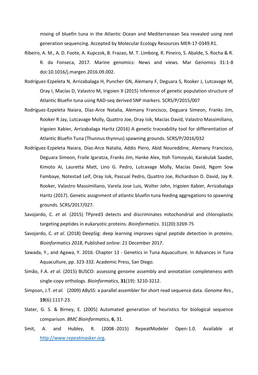mixing of bluefin tuna in the Atlantic Ocean and Mediterranean Sea revealed using next generation sequencing. Accepted by Molecular Ecology Resources MER-17-0349.R1.

- Ribeiro, A. M., A. D. Foote, A. Kupczok, B. Frazao, M. T. Limborg, R. Pineiro, S. Abalde, S. Rocha & R. R. da Fonseca, 2017. Marine genomics: News and views. Mar Genomics 31:1-8 doi:10.1016/j.margen.2016.09.002.
- Rodríguez-Ezpeleta N, Arrizabalaga H, Puncher GN, Alemany F, Deguara S, Rooker J, Lutcavage M, Oray I, Macías D, Valastro M, Irigoien X (2015) Inference of genetic population structure of Atlantic Bluefin tuna using RAD-seq derived SNP markers. SCRS/P/2015/007
- Rodríguez-Ezpeleta Naiara, Díaz-Arce Natalia, Alemany Francisco, Deguara Simeon, Franks Jim, Rooker R Jay, Lutcavage Molly, Quattro Joe, Oray Isik, Macías David, Valastro Massimiliano, Irigoien Xabier, Arrizabalaga Haritz (2016) A genetic traceability tool for differentiation of Atlantic Bluefin Tuna (Thunnus thynnus) spawning grounds. SCRS/P/2016/032
- Rodríguez-Ezpeleta Naiara, Díaz-Arce Natalia, Addis Piero, Abid Noureddine, Alemany Francisco, Deguara Simeon, Fraile Igaratza, Franks Jim, Hanke Alex, Itoh Tomoyuki, Karakulak Saadet, Kimoto Ai, Lauretta Matt, Lino G. Pedro, Lutcavage Molly, Macías David, Ngom Sow Fambaye, Notestad Leif, Oray Isik, Pascual Pedro, Quattro Joe, Richardson D. David, Jay R. Rooker, Valastro Massimiliano, Varela Jose Luis, Walter John, Irigoien Xabier, Arrizabalaga Haritz (2017). Genetic assignment of atlantic bluefin tuna feeding aggregations to spawning grounds. SCRS/2017/027.
- Savojardo, C. *et al.* (2015) TPpred3 detects and discriminates mitochondrial and chloroplastic targeting peptides in eukaryotic proteins. *Bioinformatics*. 31(20):3269-75
- Savojardo, C. *et al.* (2018) DeepSig: deep learning improves signal peptide detection in proteins. *Bioinformatics 2018*, Published online: 21 December 2017.
- Sawada, Y., and Agawa, Y. 2016. Chapter 13 Genetics in Tuna Aquaculture. In Advances in Tuna Aquaculture, pp. 323-332. Academic Press, San Diego.
- Simão, F.A. *et al.* (2015) BUSCO: assessing genome assembly and annotation completeness with single-copy orthologs. *Bioinformatics*, **31**(19): 3210-3212.
- Simpson, J.T. *et al.* (2009) ABySS: a parallel assembler for short read sequence data. *Genome Res.*, **19**(6):1117-23.
- Slater, G. S. & Birney, E. (2005) Automated generation of heuristics for biological sequence comparison. *BMC Bioinformatics*, **6**, 31.
- Smit, A. and Hubley, R. (2008–2015) RepeatModeler Open-1.0. Available at [http://www.repeatmasker.org.](http://www.repeatmasker.org/)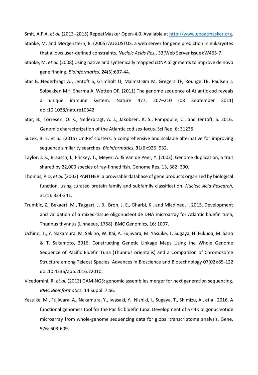Smit, A.F.A. *et al.* (2013–2015) RepeatMasker Open-4.0. Available at [http://www.epeatmasker.org.](http://www.epeatmasker.org/)

- Stanke, M. and Morgenstern, B. (2005) AUGUSTUS: a web server for gene prediction in eukaryotes that allows user-defined constraints. *Nucleic Acids Res.*, 33(Web Server issue):W465-7.
- Stanke, M. *et al.* (2008) Using native and syntenically mapped cDNA alignments to improve de novo gene finding. *Bioinformatics*, **24**(5):637-44.
- Star B, Nederbragt AJ, Jentoft S, Grimholt U, Malmstrøm M, Gregers TF, Rounge TB, Paulsen J, Solbakken MH, Sharma A, Wetten OF. (2011) The genome sequence of Atlantic cod reveals a unique immune system. Nature 477, 207–210 (08 September 2011) doi:10.1038/nature10342
- Star, B., Torresen, O. K., Nederbragt, A. J., Jakobsen, K. S., Pampoulie, C., and Jentoft, S. 2016. Genomic characterization of the Atlantic cod sex-locus. Sci Rep, 6: 31235.
- Suzek, B. E. *et al.* (2015) UniRef clusters: a comprehensive and scalable alternative for improving sequence similarity searches. *Bioinformatics*, **31**(6):926–932.
- Taylor, J. S., Braasch, I., Frickey, T., Meyer, A. & Van de Peer, Y. (2003). Genome duplication, a trait shared by 22,000 species of ray-finned fish. Genome Res. 13, 382–390.
- Thomas, P.D, *et al.* (2003) PANTHER: a browsable database of gene products organized by biological function, using curated protein family and subfamily classification. *Nucleic Acid Research*, 31(1): 334-341.
- Trumbic, Z., Bekaert, M., Taggart, J. B., Bron, J. E., Gharbi, K., and Mladineo, I. 2015. Development and validation of a mixed-tissue oligonucleotide DNA microarray for Atlantic bluefin tuna, Thunnus thynnus (Linnaeus, 1758). BMC Genomics, 16: 1007.
- Uchino, T., Y. Nakamura, M. Sekino, W. Kai, A. Fujiwara, M. Yasuike, T. Sugaya, H. Fukuda, M. Sano & T. Sakamoto, 2016. Constructing Genetic Linkage Maps Using the Whole Genome Sequence of Pacific Bluefin Tuna (Thunnus orientalis) and a Comparison of Chromosome Structure among Teleost Species. Advances in Bioscience and Biotechnology 07(02):85-122 doi:10.4236/abb.2016.72010.
- Vicedomini, R. *et al.* (2013) GAM-NGS: genomic assemblies merger for next generation sequencing. *BMC Bioinformatics*, 14 Suppl. 7:S6.
- Yasuike, M., Fujiwara, A., Nakamura, Y., Iwasaki, Y., Nishiki, I., Sugaya, T., Shimizu, A., et al. 2016. A functional genomics tool for the Pacific bluefin tuna: Development of a 44K oligonucleotide microarray from whole-genome sequencing data for global transcriptome analysis. Gene, 576: 603-609.